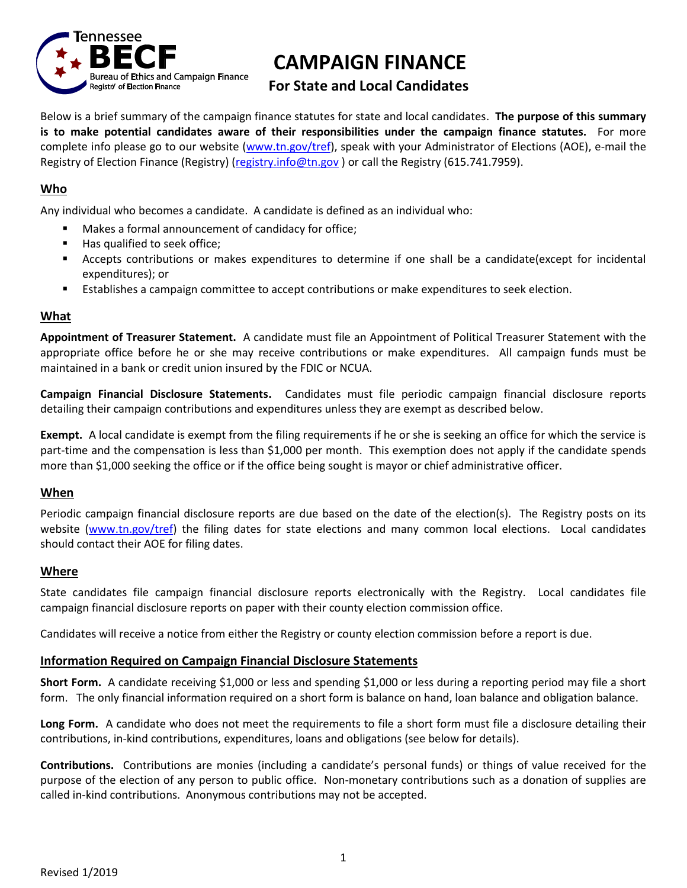

# **CAMPAIGN FINANCE**

# **For State and Local Candidates**

Below is a brief summary of the campaign finance statutes for state and local candidates. **The purpose of this summary is to make potential candidates aware of their responsibilities under the campaign finance statutes.** For more complete info please go to our website [\(www.tn.gov/tref\)](http://www.tn.gov/tref), speak with your Administrator of Elections (AOE), e-mail the Registry of Election Finance (Registry) [\(registry.info@tn.gov](mailto:registry.info@tn.gov) ) or call the Registry (615.741.7959).

# **Who**

Any individual who becomes a candidate. A candidate is defined as an individual who:

- Makes a formal announcement of candidacy for office;
- Has qualified to seek office;
- Accepts contributions or makes expenditures to determine if one shall be a candidate(except for incidental expenditures); or
- Establishes a campaign committee to accept contributions or make expenditures to seek election.

#### **What**

**Appointment of Treasurer Statement.** A candidate must file an Appointment of Political Treasurer Statement with the appropriate office before he or she may receive contributions or make expenditures. All campaign funds must be maintained in a bank or credit union insured by the FDIC or NCUA.

**Campaign Financial Disclosure Statements.** Candidates must file periodic campaign financial disclosure reports detailing their campaign contributions and expenditures unless they are exempt as described below.

**Exempt.** A local candidate is exempt from the filing requirements if he or she is seeking an office for which the service is part-time and the compensation is less than \$1,000 per month. This exemption does not apply if the candidate spends more than \$1,000 seeking the office or if the office being sought is mayor or chief administrative officer.

# **When**

Periodic campaign financial disclosure reports are due based on the date of the election(s). The Registry posts on its website [\(www.tn.gov/tref\)](http://www.tn.gov/tref) the filing dates for state elections and many common local elections. Local candidates should contact their AOE for filing dates.

#### **Where**

State candidates file campaign financial disclosure reports electronically with the Registry. Local candidates file campaign financial disclosure reports on paper with their county election commission office.

Candidates will receive a notice from either the Registry or county election commission before a report is due.

# **Information Required on Campaign Financial Disclosure Statements**

**Short Form.** A candidate receiving \$1,000 or less and spending \$1,000 or less during a reporting period may file a short form. The only financial information required on a short form is balance on hand, loan balance and obligation balance.

**Long Form.** A candidate who does not meet the requirements to file a short form must file a disclosure detailing their contributions, in-kind contributions, expenditures, loans and obligations (see below for details).

**Contributions.** Contributions are monies (including a candidate's personal funds) or things of value received for the purpose of the election of any person to public office. Non-monetary contributions such as a donation of supplies are called in-kind contributions. Anonymous contributions may not be accepted.